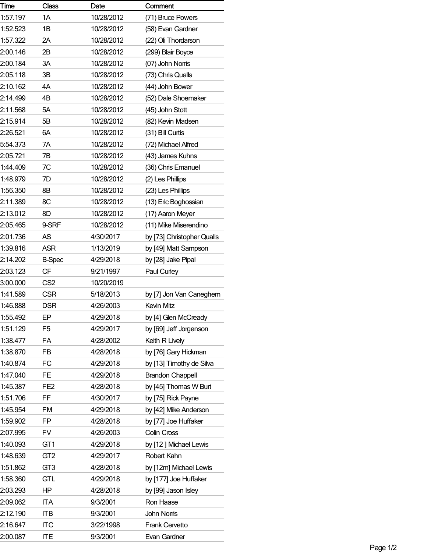| Time     | <b>Class</b>    | Date       | Comment                    |
|----------|-----------------|------------|----------------------------|
| 1:57.197 | 1A              | 10/28/2012 | (71) Bruce Powers          |
| 1:52.523 | 1Β              | 10/28/2012 | (58) Evan Gardner          |
| 1:57.322 | 2A              | 10/28/2012 | (22) Oli Thordarson        |
| 2:00.146 | 2Β              | 10/28/2012 | (299) Blair Boyce          |
| 2:00.184 | 3A              | 10/28/2012 | (07) John Nomis            |
| 2:05.118 | 3B              | 10/28/2012 | (73) Chris Qualls          |
| 2:10.162 | 4A              | 10/28/2012 | (44) John Bower            |
| 2:14.499 | 4B              | 10/28/2012 | (52) Dale Shoemaker        |
| 2:11.568 | 5A              | 10/28/2012 | (45) John Stott            |
| 2:15.914 | 5B              | 10/28/2012 | (82) Kevin Madsen          |
| 2:26.521 | 6A              | 10/28/2012 | (31) Bill Curtis           |
| 5:54.373 | 7A              | 10/28/2012 | (72) Michael Alfred        |
| 2:05.721 | 7В              | 10/28/2012 | (43) James Kuhns           |
| 1:44.409 | 7C              | 10/28/2012 | (36) Chris Emanuel         |
| 1:48.979 | 7D              | 10/28/2012 | (2) Les Phillips           |
| 1:56.350 | 8Β              | 10/28/2012 | (23) Les Phillips          |
| 2:11.389 | 8C              | 10/28/2012 | (13) Eric Boghossian       |
| 2:13.012 | 8D              | 10/28/2012 | (17) Aaron Meyer           |
| 2:05.465 | 9-SRF           | 10/28/2012 | (11) Mike Miserendino      |
| 2:01.736 | AS              | 4/30/2017  | by [73] Christopher Qualls |
| 1:39.816 | <b>ASR</b>      | 1/13/2019  | by [49] Matt Sampson       |
| 2:14.202 | <b>B-Spec</b>   | 4/29/2018  | by [28] Jake Pipal         |
| 2:03.123 | CF              | 9/21/1997  | Paul Curley                |
| 3:00.000 | CS <sub>2</sub> | 10/20/2019 |                            |
| 1:41.589 | <b>CSR</b>      | 5/18/2013  | by [7] Jon Van Caneghem    |
| 1:46.888 | <b>DSR</b>      | 4/26/2003  | <b>Kevin Mitz</b>          |
| 1:55.492 | EP              | 4/29/2018  | by [4] Glen McCready       |
| 1:51.129 | F <sub>5</sub>  | 4/29/2017  | by [69] Jeff Jorgenson     |
| 1:38.477 | FA              | 4/28/2002  | Keith R Lively             |
| 1:38.870 | FB              | 4/28/2018  | by [76] Gary Hickman       |
| 1:40.874 | FC              | 4/29/2018  | by [13] Timothy de Silva   |
| 1:47.040 | FE              | 4/29/2018  | <b>Brandon Chappell</b>    |
| 1:45.387 | FE <sub>2</sub> | 4/28/2018  | by [45] Thomas W Burt      |
| 1:51.706 | FF              | 4/30/2017  | by [75] Rick Payne         |
| 1:45.954 | FM              | 4/29/2018  | by [42] Mike Anderson      |
| 1:59.902 | FP              | 4/28/2018  | by [77] Joe Huffaker       |
| 2:07.995 | <b>FV</b>       | 4/26/2003  | Colin Cross                |
| 1:40.093 | GT <sub>1</sub> | 4/29/2018  | by [12] Michael Lewis      |
| 1:48.639 | GT <sub>2</sub> | 4/29/2017  | Robert Kahn                |
| 1:51.862 | GT <sub>3</sub> | 4/28/2018  | by [12m] Michael Lewis     |
| 1:58.360 | <b>GTL</b>      | 4/29/2018  | by [177] Joe Huffaker      |
| 2:03.293 | ΗP              | 4/28/2018  | by [99] Jason Isley        |
| 2:09.062 | <b>ITA</b>      | 9/3/2001   | Ron Haase                  |
| 2:12.190 | <b>ITB</b>      | 9/3/2001   | John Noms                  |
| 2:16.647 | <b>ITC</b>      | 3/22/1998  | Frank Cervetto             |
| 2:00.087 | <b>ITE</b>      | 9/3/2001   | Evan Gardner               |